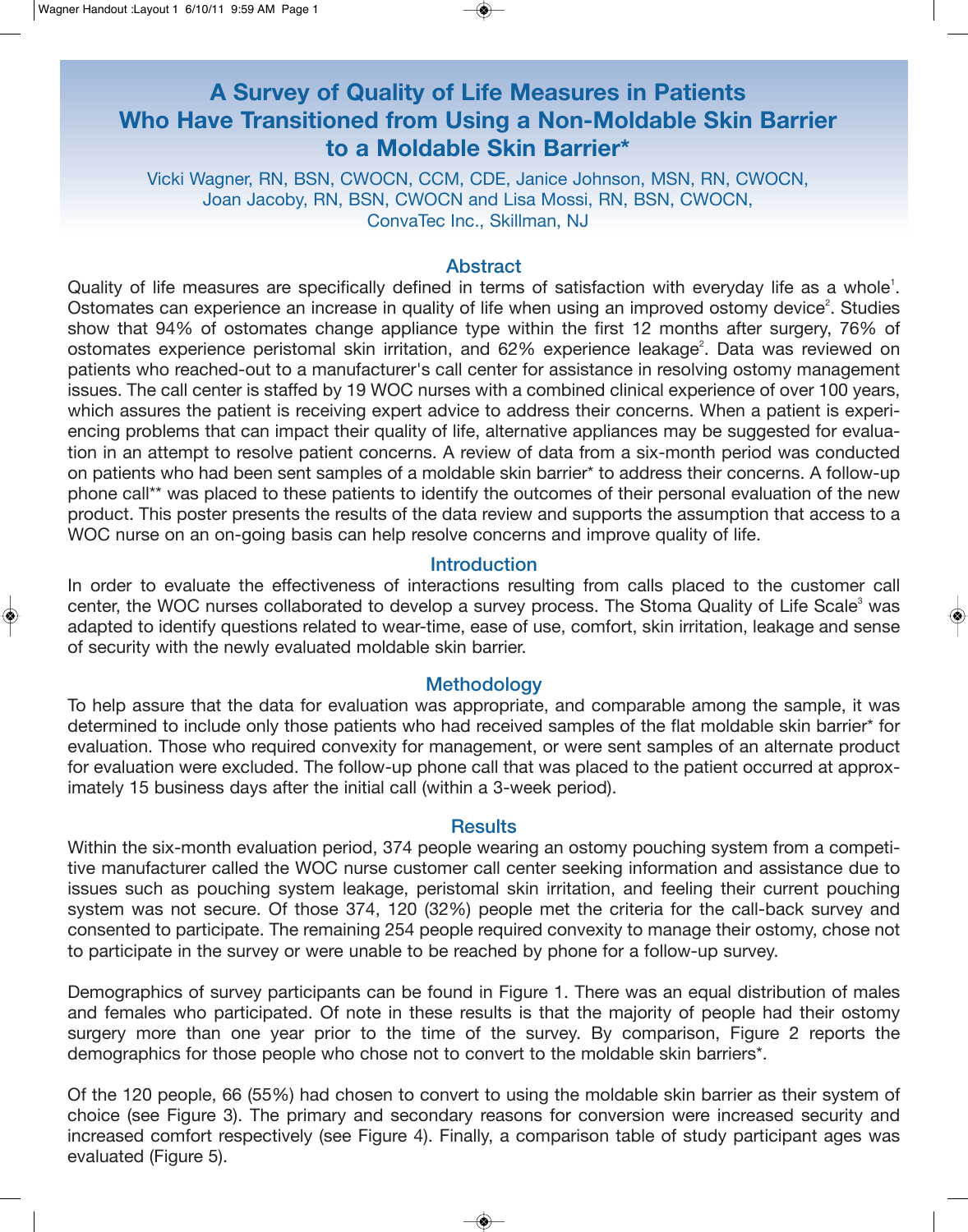# **A Survey of Quality of Life Measures in Patients Who Have Transitioned from Using a Non-Moldable Skin Barrier to a Moldable Skin Barrier\***

Vicki Wagner, RN, BSN, CWOCN, CCM, CDE, Janice Johnson, MSN, RN, CWOCN, Joan Jacoby, RN, BSN, CWOCN and Lisa Mossi, RN, BSN, CWOCN, ConvaTec Inc., Skillman, NJ

#### Abstract

Quality of life measures are specifically defined in terms of satisfaction with everyday life as a whole<sup>1</sup>. Ostomates can experience an increase in quality of life when using an improved ostomy device<sup>2</sup>. Studies show that 94% of ostomates change appliance type within the first 12 months after surgery, 76% of ostomates experience peristomal skin irritation, and 62% experience leakage<sup>2</sup>. Data was reviewed on patients who reached-out to a manufacturer's call center for assistance in resolving ostomy management issues. The call center is staffed by 19 WOC nurses with a combined clinical experience of over 100 years, which assures the patient is receiving expert advice to address their concerns. When a patient is experiencing problems that can impact their quality of life, alternative appliances may be suggested for evaluation in an attempt to resolve patient concerns. A review of data from a six-month period was conducted on patients who had been sent samples of a moldable skin barrier\* to address their concerns. A follow-up phone call\*\* was placed to these patients to identify the outcomes of their personal evaluation of the new product. This poster presents the results of the data review and supports the assumption that access to a WOC nurse on an on-going basis can help resolve concerns and improve quality of life.

# **Introduction**

In order to evaluate the effectiveness of interactions resulting from calls placed to the customer call center, the WOC nurses collaborated to develop a survey process. The Stoma Quality of Life Scale<sup>3</sup> was adapted to identify questions related to wear-time, ease of use, comfort, skin irritation, leakage and sense of security with the newly evaluated moldable skin barrier.

# **Methodology**

To help assure that the data for evaluation was appropriate, and comparable among the sample, it was determined to include only those patients who had received samples of the flat moldable skin barrier\* for evaluation. Those who required convexity for management, or were sent samples of an alternate product for evaluation were excluded. The follow-up phone call that was placed to the patient occurred at approximately 15 business days after the initial call (within a 3-week period).

### **Results**

Within the six-month evaluation period, 374 people wearing an ostomy pouching system from a competitive manufacturer called the WOC nurse customer call center seeking information and assistance due to issues such as pouching system leakage, peristomal skin irritation, and feeling their current pouching system was not secure. Of those 374, 120 (32%) people met the criteria for the call-back survey and consented to participate. The remaining 254 people required convexity to manage their ostomy, chose not to participate in the survey or were unable to be reached by phone for a follow-up survey.

Demographics of survey participants can be found in Figure 1. There was an equal distribution of males and females who participated. Of note in these results is that the majority of people had their ostomy surgery more than one year prior to the time of the survey. By comparison, Figure 2 reports the demographics for those people who chose not to convert to the moldable skin barriers\*.

Of the 120 people, 66 (55%) had chosen to convert to using the moldable skin barrier as their system of choice (see Figure 3). The primary and secondary reasons for conversion were increased security and increased comfort respectively (see Figure 4). Finally, a comparison table of study participant ages was evaluated (Figure 5).